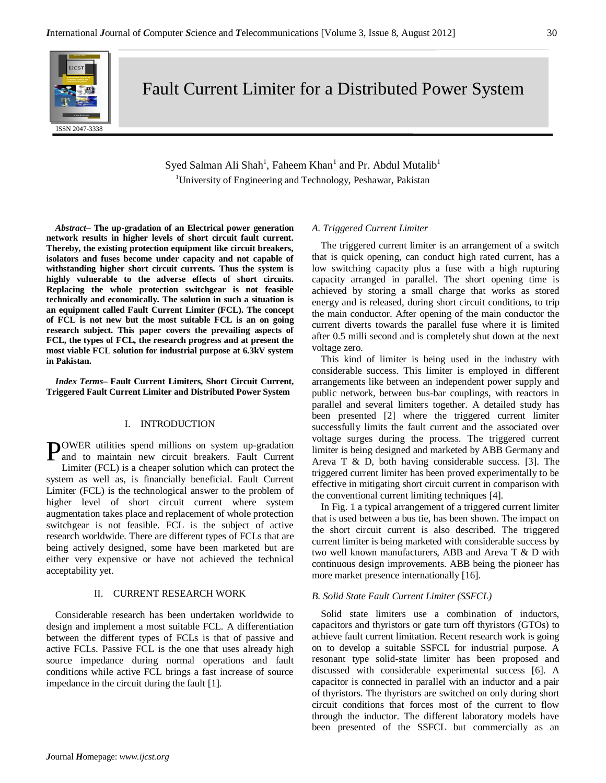Fault Current Limiter for a Distributed Power System

Syed Salman Ali Shah<sup>1</sup>, Faheem Khan<sup>1</sup> and Pr. Abdul Mutalib<sup>1</sup> <sup>1</sup>University of Engineering and Technology, Peshawar, Pakistan

*Abstract–* **The up-gradation of an Electrical power generation network results in higher levels of short circuit fault current. Thereby, the existing protection equipment like circuit breakers, isolators and fuses become under capacity and not capable of withstanding higher short circuit currents. Thus the system is highly vulnerable to the adverse effects of short circuits. Replacing the whole protection switchgear is not feasible technically and economically. The solution in such a situation is an equipment called Fault Current Limiter (FCL). The concept of FCL is not new but the most suitable FCL is an on going research subject. This paper covers the prevailing aspects of FCL, the types of FCL, the research progress and at present the most viable FCL solution for industrial purpose at 6.3kV system in Pakistan.**

*Index Terms–* **Fault Current Limiters, Short Circuit Current, Triggered Fault Current Limiter and Distributed Power System**

# I. INTRODUCTION

POWER utilities spend millions on system up-gradation<br>and to maintain new circuit breakers. Fault Current and to maintain new circuit breakers. Fault Current Limiter (FCL) is a cheaper solution which can protect the system as well as, is financially beneficial. Fault Current Limiter (FCL) is the technological answer to the problem of higher level of short circuit current where system augmentation takes place and replacement of whole protection switchgear is not feasible. FCL is the subject of active research worldwide. There are different types of FCLs that are being actively designed, some have been marketed but are either very expensive or have not achieved the technical acceptability yet.

# II. CURRENT RESEARCH WORK

Considerable research has been undertaken worldwide to design and implement a most suitable FCL. A differentiation between the different types of FCLs is that of passive and active FCLs. Passive FCL is the one that uses already high source impedance during normal operations and fault conditions while active FCL brings a fast increase of source impedance in the circuit during the fault [1].

### *A. Triggered Current Limiter*

The triggered current limiter is an arrangement of a switch that is quick opening, can conduct high rated current, has a low switching capacity plus a fuse with a high rupturing capacity arranged in parallel. The short opening time is achieved by storing a small charge that works as stored energy and is released, during short circuit conditions, to trip the main conductor. After opening of the main conductor the current diverts towards the parallel fuse where it is limited after 0.5 milli second and is completely shut down at the next voltage zero.

This kind of limiter is being used in the industry with considerable success. This limiter is employed in different arrangements like between an independent power supply and public network, between bus-bar couplings, with reactors in parallel and several limiters together. A detailed study has been presented [2] where the triggered current limiter successfully limits the fault current and the associated over voltage surges during the process. The triggered current limiter is being designed and marketed by ABB Germany and Areva T & D, both having considerable success. [3]. The triggered current limiter has been proved experimentally to be effective in mitigating short circuit current in comparison with the conventional current limiting techniques [4].

In Fig. 1 a typical arrangement of a triggered current limiter that is used between a bus tie, has been shown. The impact on the short circuit current is also described. The triggered current limiter is being marketed with considerable success by two well known manufacturers, ABB and Areva T & D with continuous design improvements. ABB being the pioneer has more market presence internationally [16].

#### *B. Solid State Fault Current Limiter (SSFCL)*

Solid state limiters use a combination of inductors, capacitors and thyristors or gate turn off thyristors (GTOs) to achieve fault current limitation. Recent research work is going on to develop a suitable SSFCL for industrial purpose. A resonant type solid-state limiter has been proposed and discussed with considerable experimental success [6]. A capacitor is connected in parallel with an inductor and a pair of thyristors. The thyristors are switched on only during short circuit conditions that forces most of the current to flow through the inductor. The different laboratory models have been presented of the SSFCL but commercially as an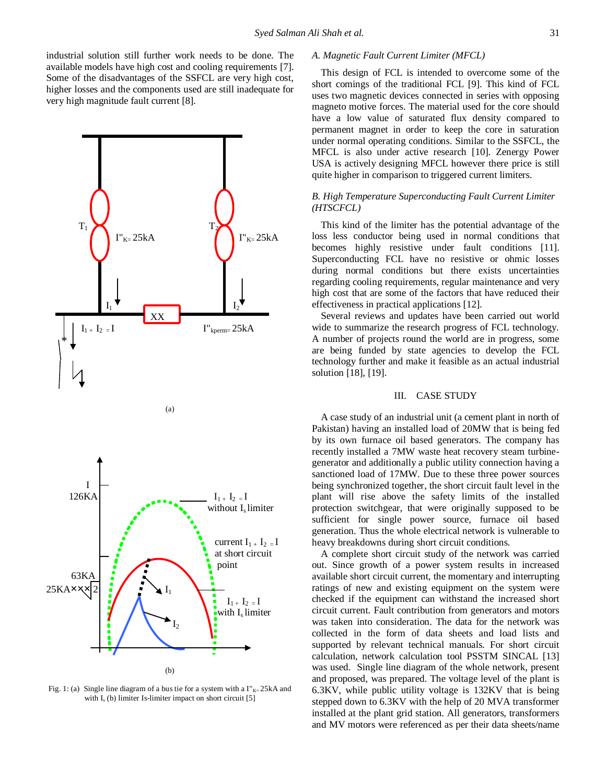industrial solution still further work needs to be done. The available models have high cost and cooling requirements [7]. Some of the disadvantages of the SSFCL are very high cost, higher losses and the components used are still inadequate for very high magnitude fault current [8].



Fig. 1: (a) Single line diagram of a bus tie for a system with a  $\Gamma_{K=25kA}$  and with  $I_s$  (b) limiter Is-limiter impact on short circuit  $[5]$ 

#### *A. Magnetic Fault Current Limiter (MFCL)*

This design of FCL is intended to overcome some of the short comings of the traditional FCL [9]. This kind of FCL uses two magnetic devices connected in series with opposing magneto motive forces. The material used for the core should have a low value of saturated flux density compared to permanent magnet in order to keep the core in saturation under normal operating conditions. Similar to the SSFCL, the MFCL is also under active research [10]. Zenergy Power USA is actively designing MFCL however there price is still quite higher in comparison to triggered current limiters.

## *B. High Temperature Superconducting Fault Current Limiter (HTSCFCL)*

This kind of the limiter has the potential advantage of the loss less conductor being used in normal conditions that becomes highly resistive under fault conditions [11]. Superconducting FCL have no resistive or ohmic losses during normal conditions but there exists uncertainties regarding cooling requirements, regular maintenance and very high cost that are some of the factors that have reduced their effectiveness in practical applications [12].

Several reviews and updates have been carried out world wide to summarize the research progress of FCL technology. A number of projects round the world are in progress, some are being funded by state agencies to develop the FCL technology further and make it feasible as an actual industrial solution [18], [19].

#### III. CASE STUDY

A case study of an industrial unit (a cement plant in north of Pakistan) having an installed load of 20MW that is being fed by its own furnace oil based generators. The company has recently installed a 7MW waste heat recovery steam turbinegenerator and additionally a public utility connection having a sanctioned load of 17MW. Due to these three power sources being synchronized together, the short circuit fault level in the plant will rise above the safety limits of the installed protection switchgear, that were originally supposed to be sufficient for single power source, furnace oil based generation. Thus the whole electrical network is vulnerable to heavy breakdowns during short circuit conditions.

A complete short circuit study of the network was carried out. Since growth of a power system results in increased available short circuit current, the momentary and interrupting ratings of new and existing equipment on the system were checked if the equipment can withstand the increased short circuit current. Fault contribution from generators and motors was taken into consideration. The data for the network was collected in the form of data sheets and load lists and supported by relevant technical manuals. For short circuit calculation, network calculation tool PSSTM SINCAL [13] was used. Single line diagram of the whole network, present and proposed, was prepared. The voltage level of the plant is 6.3KV, while public utility voltage is 132KV that is being stepped down to 6.3KV with the help of 20 MVA transformer installed at the plant grid station. All generators, transformers and MV motors were referenced as per their data sheets/name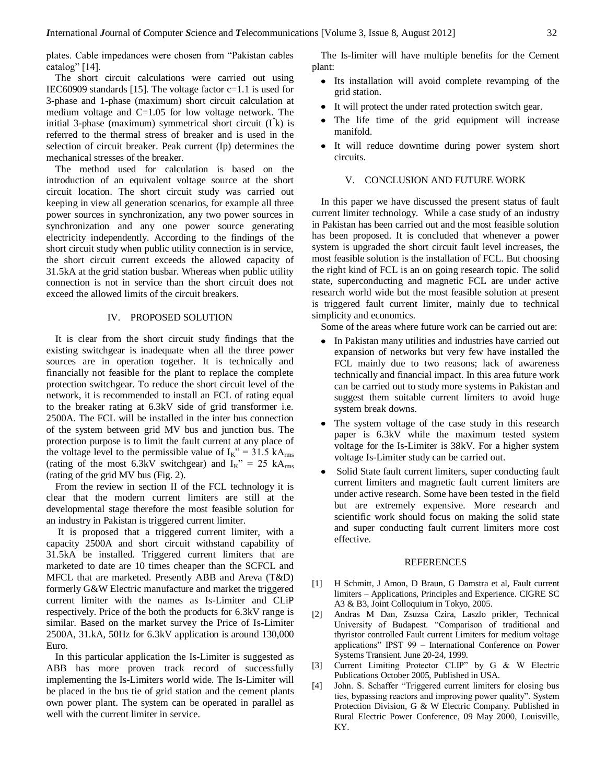plates. Cable impedances were chosen from "Pakistan cables catalog" [14].

The short circuit calculations were carried out using IEC60909 standards [15]. The voltage factor c=1.1 is used for 3-phase and 1-phase (maximum) short circuit calculation at medium voltage and  $C=1.05$  for low voltage network. The initial 3-phase (maximum) symmetrical short circuit (I″ k) is referred to the thermal stress of breaker and is used in the selection of circuit breaker. Peak current (Ip) determines the mechanical stresses of the breaker.

The method used for calculation is based on the introduction of an equivalent voltage source at the short circuit location. The short circuit study was carried out keeping in view all generation scenarios, for example all three power sources in synchronization, any two power sources in synchronization and any one power source generating electricity independently. According to the findings of the short circuit study when public utility connection is in service, the short circuit current exceeds the allowed capacity of 31.5kA at the grid station busbar. Whereas when public utility connection is not in service than the short circuit does not exceed the allowed limits of the circuit breakers.

## IV. PROPOSED SOLUTION

It is clear from the short circuit study findings that the existing switchgear is inadequate when all the three power sources are in operation together. It is technically and financially not feasible for the plant to replace the complete protection switchgear. To reduce the short circuit level of the network, it is recommended to install an FCL of rating equal to the breaker rating at 6.3kV side of grid transformer i.e. 2500A. The FCL will be installed in the inter bus connection of the system between grid MV bus and junction bus. The protection purpose is to limit the fault current at any place of the voltage level to the permissible value of  $I_K$ " = 31.5 kA<sub>rms</sub> (rating of the most 6.3kV switchgear) and  $I_K$ " = 25 kA<sub>rms</sub> (rating of the grid MV bus (Fig. 2).

From the review in section II of the FCL technology it is clear that the modern current limiters are still at the developmental stage therefore the most feasible solution for an industry in Pakistan is triggered current limiter.

It is proposed that a triggered current limiter, with a capacity 2500A and short circuit withstand capability of 31.5kA be installed. Triggered current limiters that are marketed to date are 10 times cheaper than the SCFCL and MFCL that are marketed. Presently ABB and Areva (T&D) formerly G&W Electric manufacture and market the triggered current limiter with the names as Is-Limiter and CLiP respectively. Price of the both the products for 6.3kV range is similar. Based on the market survey the Price of Is-Limiter 2500A, 31.kA, 50Hz for 6.3kV application is around 130,000 Euro.

In this particular application the Is-Limiter is suggested as ABB has more proven track record of successfully implementing the Is-Limiters world wide. The Is-Limiter will be placed in the bus tie of grid station and the cement plants own power plant. The system can be operated in parallel as well with the current limiter in service.

The Is-limiter will have multiple benefits for the Cement plant:

- Its installation will avoid complete revamping of the grid station.
- It will protect the under rated protection switch gear.
- The life time of the grid equipment will increase manifold.
- It will reduce downtime during power system short circuits.

### V. CONCLUSION AND FUTURE WORK

In this paper we have discussed the present status of fault current limiter technology. While a case study of an industry in Pakistan has been carried out and the most feasible solution has been proposed. It is concluded that whenever a power system is upgraded the short circuit fault level increases, the most feasible solution is the installation of FCL. But choosing the right kind of FCL is an on going research topic. The solid state, superconducting and magnetic FCL are under active research world wide but the most feasible solution at present is triggered fault current limiter, mainly due to technical simplicity and economics.

Some of the areas where future work can be carried out are:

- In Pakistan many utilities and industries have carried out expansion of networks but very few have installed the FCL mainly due to two reasons; lack of awareness technically and financial impact. In this area future work can be carried out to study more systems in Pakistan and suggest them suitable current limiters to avoid huge system break downs.
- The system voltage of the case study in this research paper is 6.3kV while the maximum tested system voltage for the Is-Limiter is 38kV. For a higher system voltage Is-Limiter study can be carried out.
- Solid State fault current limiters, super conducting fault current limiters and magnetic fault current limiters are under active research. Some have been tested in the field but are extremely expensive. More research and scientific work should focus on making the solid state and super conducting fault current limiters more cost effective.

#### REFERENCES

- [1] H Schmitt, J Amon, D Braun, G Damstra et al, Fault current limiters – Applications, Principles and Experience. CIGRE SC A3 & B3, Joint Colloquium in Tokyo, 2005.
- [2] Andras M Dan, Zsuzsa Czira, Laszlo prikler, Technical University of Budapest. "Comparison of traditional and thyristor controlled Fault current Limiters for medium voltage applications" IPST 99 – International Conference on Power Systems Transient. June 20-24, 1999.
- [3] Current Limiting Protector CLIP" by G & W Electric Publications October 2005, Published in USA.
- [4] John. S. Schaffer "Triggered current limiters for closing bus ties, bypassing reactors and improving power quality". System Protection Division, G & W Electric Company. Published in Rural Electric Power Conference, 09 May 2000, Louisville, KY.